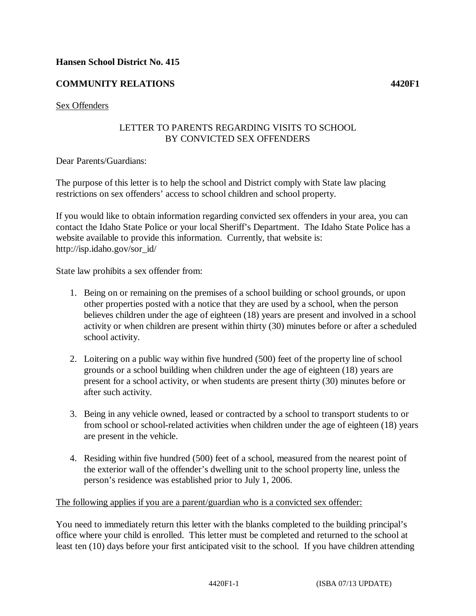### **Hansen School District No. 415**

# **COMMUNITY RELATIONS 4420F1**

### LETTER TO PARENTS REGARDING VISITS TO SCHOOL BY CONVICTED SEX OFFENDERS

Dear Parents/Guardians:

The purpose of this letter is to help the school and District comply with State law placing restrictions on sex offenders' access to school children and school property.

If you would like to obtain information regarding convicted sex offenders in your area, you can contact the Idaho State Police or your local Sheriff's Department. The Idaho State Police has a website available to provide this information. Currently, that website is: http://isp.idaho.gov/sor\_id/

State law prohibits a sex offender from:

- 1. Being on or remaining on the premises of a school building or school grounds, or upon other properties posted with a notice that they are used by a school, when the person believes children under the age of eighteen (18) years are present and involved in a school activity or when children are present within thirty (30) minutes before or after a scheduled school activity.
- 2. Loitering on a public way within five hundred (500) feet of the property line of school grounds or a school building when children under the age of eighteen (18) years are present for a school activity, or when students are present thirty (30) minutes before or after such activity.
- 3. Being in any vehicle owned, leased or contracted by a school to transport students to or from school or school-related activities when children under the age of eighteen (18) years are present in the vehicle.
- 4. Residing within five hundred (500) feet of a school, measured from the nearest point of the exterior wall of the offender's dwelling unit to the school property line, unless the person's residence was established prior to July 1, 2006.

#### The following applies if you are a parent/guardian who is a convicted sex offender:

You need to immediately return this letter with the blanks completed to the building principal's office where your child is enrolled. This letter must be completed and returned to the school at least ten (10) days before your first anticipated visit to the school. If you have children attending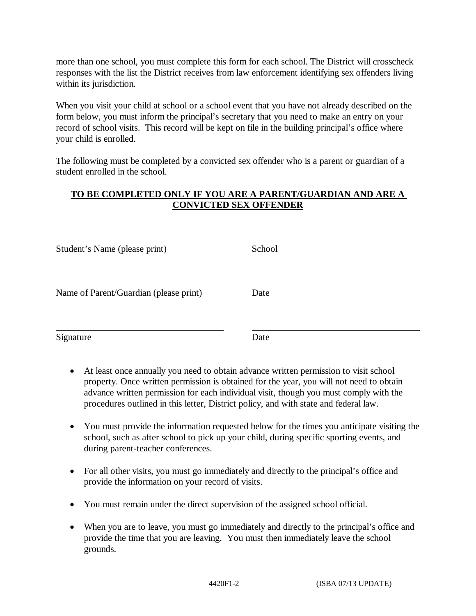more than one school, you must complete this form for each school. The District will crosscheck responses with the list the District receives from law enforcement identifying sex offenders living within its jurisdiction.

When you visit your child at school or a school event that you have not already described on the form below, you must inform the principal's secretary that you need to make an entry on your record of school visits. This record will be kept on file in the building principal's office where your child is enrolled.

The following must be completed by a convicted sex offender who is a parent or guardian of a student enrolled in the school.

# **TO BE COMPLETED ONLY IF YOU ARE A PARENT/GUARDIAN AND ARE A CONVICTED SEX OFFENDER**

| Student's Name (please print)          | School |
|----------------------------------------|--------|
| Name of Parent/Guardian (please print) | Date   |
| Signature                              | Date   |

- At least once annually you need to obtain advance written permission to visit school property. Once written permission is obtained for the year, you will not need to obtain advance written permission for each individual visit, though you must comply with the procedures outlined in this letter, District policy, and with state and federal law.
- You must provide the information requested below for the times you anticipate visiting the school, such as after school to pick up your child, during specific sporting events, and during parent-teacher conferences.
- For all other visits, you must go immediately and directly to the principal's office and provide the information on your record of visits.
- You must remain under the direct supervision of the assigned school official.
- When you are to leave, you must go immediately and directly to the principal's office and provide the time that you are leaving. You must then immediately leave the school grounds.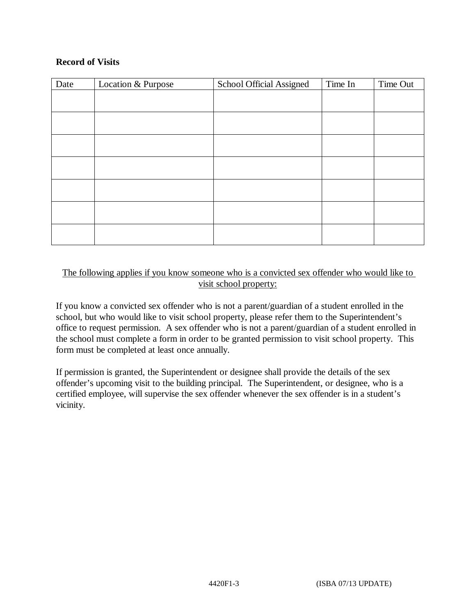## **Record of Visits**

| Date | Location & Purpose | School Official Assigned | Time In | Time Out |
|------|--------------------|--------------------------|---------|----------|
|      |                    |                          |         |          |
|      |                    |                          |         |          |
|      |                    |                          |         |          |
|      |                    |                          |         |          |
|      |                    |                          |         |          |
|      |                    |                          |         |          |
|      |                    |                          |         |          |
|      |                    |                          |         |          |

## The following applies if you know someone who is a convicted sex offender who would like to visit school property:

If you know a convicted sex offender who is not a parent/guardian of a student enrolled in the school, but who would like to visit school property, please refer them to the Superintendent's office to request permission. A sex offender who is not a parent/guardian of a student enrolled in the school must complete a form in order to be granted permission to visit school property. This form must be completed at least once annually.

If permission is granted, the Superintendent or designee shall provide the details of the sex offender's upcoming visit to the building principal. The Superintendent, or designee, who is a certified employee, will supervise the sex offender whenever the sex offender is in a student's vicinity.